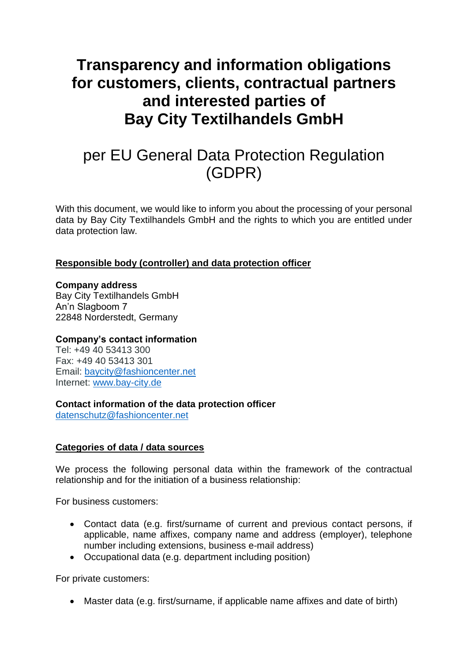# **Transparency and information obligations for customers, clients, contractual partners and interested parties of Bay City Textilhandels GmbH**

# per EU General Data Protection Regulation (GDPR)

With this document, we would like to inform you about the processing of your personal data by Bay City Textilhandels GmbH and the rights to which you are entitled under data protection law.

# **Responsible body (controller) and data protection officer**

#### **Company address**

Bay City Textilhandels GmbH An'n Slagboom 7 22848 Norderstedt, Germany

## **Company's contact information**

Tel: +49 40 53413 300 Fax: +49 40 53413 301 Email: [baycity@fashioncenter.net](mailto:baycity@fashioncenter.net) Internet: [www.bay-city.de](http://www.bay-city.de/)

## **Contact information of the data protection officer**

[datenschutz@fashioncenter.net](mailto:datenschutz@fashioncenter.net)

# **Categories of data / data sources**

We process the following personal data within the framework of the contractual relationship and for the initiation of a business relationship:

For business customers:

- Contact data (e.g. first/surname of current and previous contact persons, if applicable, name affixes, company name and address (employer), telephone number including extensions, business e-mail address)
- Occupational data (e.g. department including position)

For private customers:

• Master data (e.g. first/surname, if applicable name affixes and date of birth)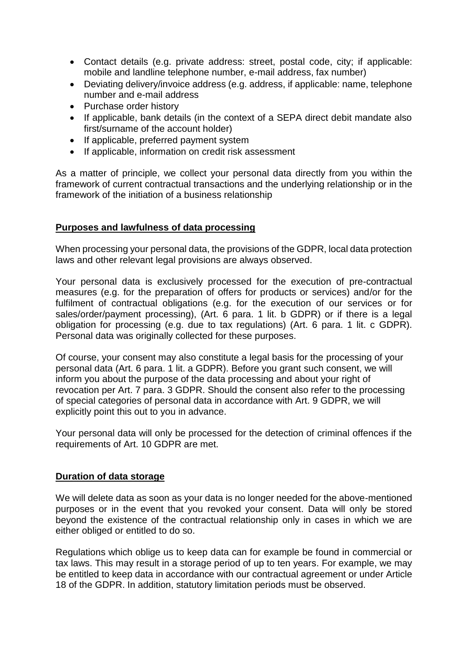- Contact details (e.g. private address: street, postal code, city; if applicable: mobile and landline telephone number, e-mail address, fax number)
- Deviating delivery/invoice address (e.g. address, if applicable: name, telephone number and e-mail address
- Purchase order history
- If applicable, bank details (in the context of a SEPA direct debit mandate also first/surname of the account holder)
- If applicable, preferred payment system
- If applicable, information on credit risk assessment

As a matter of principle, we collect your personal data directly from you within the framework of current contractual transactions and the underlying relationship or in the framework of the initiation of a business relationship

## **Purposes and lawfulness of data processing**

When processing your personal data, the provisions of the GDPR, local data protection laws and other relevant legal provisions are always observed.

Your personal data is exclusively processed for the execution of pre-contractual measures (e.g. for the preparation of offers for products or services) and/or for the fulfilment of contractual obligations (e.g. for the execution of our services or for sales/order/payment processing), (Art. 6 para. 1 lit. b GDPR) or if there is a legal obligation for processing (e.g. due to tax regulations) (Art. 6 para. 1 lit. c GDPR). Personal data was originally collected for these purposes.

Of course, your consent may also constitute a legal basis for the processing of your personal data (Art. 6 para. 1 lit. a GDPR). Before you grant such consent, we will inform you about the purpose of the data processing and about your right of revocation per Art. 7 para. 3 GDPR. Should the consent also refer to the processing of special categories of personal data in accordance with Art. 9 GDPR, we will explicitly point this out to you in advance.

Your personal data will only be processed for the detection of criminal offences if the requirements of Art. 10 GDPR are met.

#### **Duration of data storage**

We will delete data as soon as your data is no longer needed for the above-mentioned purposes or in the event that you revoked your consent. Data will only be stored beyond the existence of the contractual relationship only in cases in which we are either obliged or entitled to do so.

Regulations which oblige us to keep data can for example be found in commercial or tax laws. This may result in a storage period of up to ten years. For example, we may be entitled to keep data in accordance with our contractual agreement or under Article 18 of the GDPR. In addition, statutory limitation periods must be observed.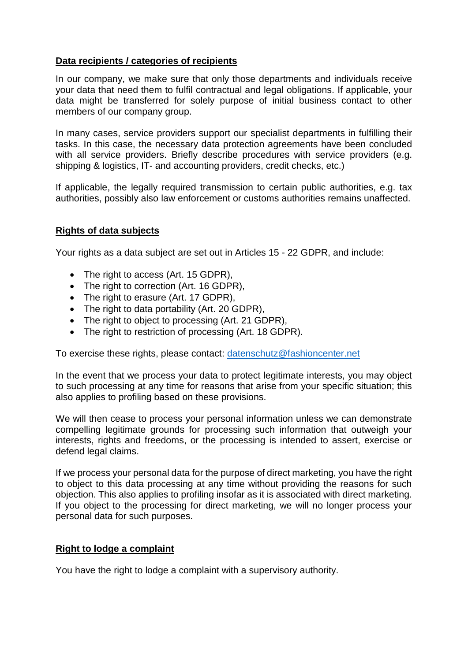# **Data recipients / categories of recipients**

In our company, we make sure that only those departments and individuals receive your data that need them to fulfil contractual and legal obligations. If applicable, your data might be transferred for solely purpose of initial business contact to other members of our company group.

In many cases, service providers support our specialist departments in fulfilling their tasks. In this case, the necessary data protection agreements have been concluded with all service providers. Briefly describe procedures with service providers (e.g. shipping & logistics, IT- and accounting providers, credit checks, etc.)

If applicable, the legally required transmission to certain public authorities, e.g. tax authorities, possibly also law enforcement or customs authorities remains unaffected.

# **Rights of data subjects**

Your rights as a data subject are set out in Articles 15 - 22 GDPR, and include:

- The right to access (Art. 15 GDPR).
- The right to correction (Art. 16 GDPR),
- The right to erasure (Art. 17 GDPR),
- The right to data portability (Art. 20 GDPR),
- The right to object to processing (Art. 21 GDPR),
- The right to restriction of processing (Art. 18 GDPR).

To exercise these rights, please contact: [datenschutz@fashioncenter.net](mailto:datenschutz@fashioncenter.net)

In the event that we process your data to protect legitimate interests, you may object to such processing at any time for reasons that arise from your specific situation; this also applies to profiling based on these provisions.

We will then cease to process your personal information unless we can demonstrate compelling legitimate grounds for processing such information that outweigh your interests, rights and freedoms, or the processing is intended to assert, exercise or defend legal claims.

If we process your personal data for the purpose of direct marketing, you have the right to object to this data processing at any time without providing the reasons for such objection. This also applies to profiling insofar as it is associated with direct marketing. If you object to the processing for direct marketing, we will no longer process your personal data for such purposes.

## **Right to lodge a complaint**

You have the right to lodge a complaint with a supervisory authority.